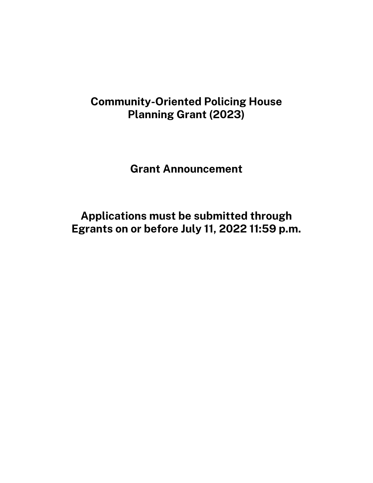# **Community-Oriented Policing House Planning Grant (2023)**

**Grant Announcement**

**Applications must be submitted through Egrants on or before July 11, 2022 11:59 p.m.**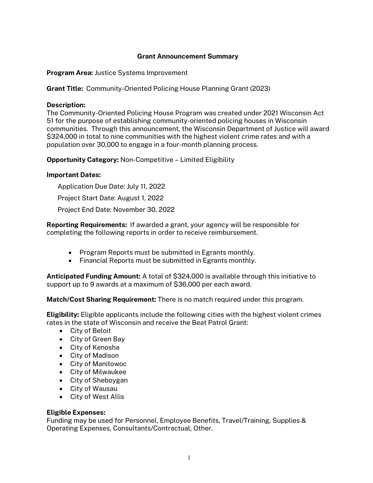# **Grant Announcement Summary**

**Program Area:** Justice Systems Improvement

**Grant Title:** Community-Oriented Policing House Planning Grant (2023)

#### **Description:**

The Community-Oriented Policing House Program was created under 2021 Wisconsin Act 51 for the purpose of establishing community-oriented policing houses in Wisconsin communities. Through this announcement, the Wisconsin Department of Justice will award \$324,000 in total to nine communities with the highest violent crime rates and with a population over 30,000 to engage in a four-month planning process.

**Opportunity Category:** Non-Competitive – Limited Eligibility

#### **Important Dates:**

Application Due Date: July 11, 2022 Project Start Date: August 1, 2022 Project End Date: November 30, 2022

**Reporting Requirements:** If awarded a grant, your agency will be responsible for completing the following reports in order to receive reimbursement.

- Program Reports must be submitted in Egrants monthly.
- Financial Reports must be submitted in Egrants monthly.

**Anticipated Funding Amount:** A total of \$324,000 is available through this initiative to support up to 9 awards at a maximum of \$36,000 per each award.

**Match/Cost Sharing Requirement:** There is no match required under this program.

**Eligibility:** Eligible applicants include the following cities with the highest violent crimes rates in the state of Wisconsin and receive the Beat Patrol Grant:

- City of Beloit
- City of Green Bay
- City of Kenosha
- City of Madison
- City of Manitowoc
- City of Milwaukee
- City of Sheboygan
- City of Wausau
- City of West Allis

#### **Eligible Expenses:**

Funding may be used for Personnel, Employee Benefits, Travel/Training, Supplies & Operating Expenses, Consultants/Contractual, Other.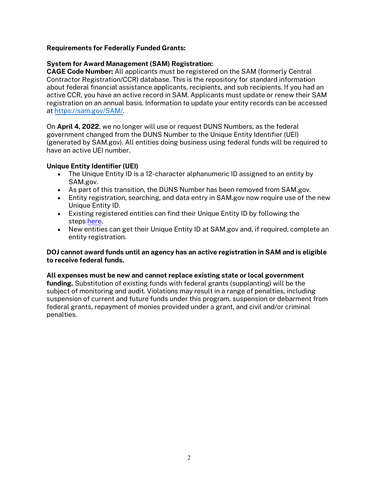# **Requirements for Federally Funded Grants:**

## **System for Award Management (SAM) Registration:**

**CAGE Code Number:** All applicants must be registered on the SAM (formerly Central Contractor Registration/CCR) database. This is the repository for standard information about federal financial assistance applicants, recipients, and sub recipients. If you had an active CCR, you have an active record in SAM. Applicants must update or renew their SAM registration on an annual basis. Information to update your entity records can be accessed at [https://sam.gov/SAM/.](https://sam.gov/SAM/)

On **April 4, 2022**, we no longer will use or request DUNS Numbers, as the federal government changed from the DUNS Number to the Unique Entity Identifier (UEI) (generated by SAM.gov). All entities doing business using federal funds will be required to have an active UEI number.

# **Unique Entity Identifier (UEI)**

- The Unique Entity ID is a 12-character alphanumeric ID assigned to an entity by SAM.gov.
- As part of this transition, the DUNS Number has been removed from SAM.gov.
- Entity registration, searching, and data entry in SAM.gov now require use of the new Unique Entity ID.
- Existing registered entities can find their Unique Entity ID by following the steps [here.](https://www.fsd.gov/gsafsd_sp?id=kb_article_view&sysparm_article=KB0041254)
- New entities can get their Unique Entity ID at SAM.gov and, if required, complete an entity registration.

#### **DOJ cannot award funds until an agency has an active registration in SAM and is eligible to receive federal funds.**

**All expenses must be new and cannot replace existing state or local government funding.** Substitution of existing funds with federal grants (supplanting) will be the subject of monitoring and audit. Violations may result in a range of penalties, including suspension of current and future funds under this program, suspension or debarment from federal grants, repayment of monies provided under a grant, and civil and/or criminal penalties.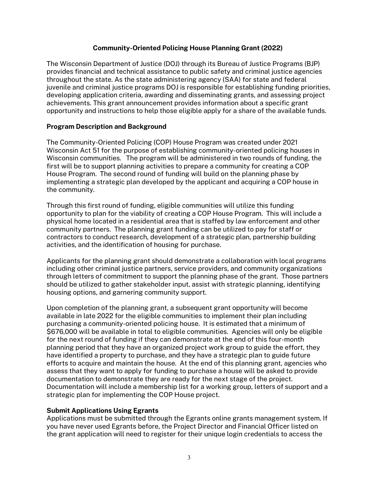## **Community-Oriented Policing House Planning Grant (2022)**

The Wisconsin Department of Justice (DOJ) through its Bureau of Justice Programs (BJP) provides financial and technical assistance to public safety and criminal justice agencies throughout the state. As the state administering agency (SAA) for state and federal juvenile and criminal justice programs DOJ is responsible for establishing funding priorities, developing application criteria, awarding and disseminating grants, and assessing project achievements. This grant announcement provides information about a specific grant opportunity and instructions to help those eligible apply for a share of the available funds.

#### **Program Description and Background**

The Community-Oriented Policing (COP) House Program was created under 2021 Wisconsin Act 51 for the purpose of establishing community-oriented policing houses in Wisconsin communities. The program will be administered in two rounds of funding, the first will be to support planning activities to prepare a community for creating a COP House Program. The second round of funding will build on the planning phase by implementing a strategic plan developed by the applicant and acquiring a COP house in the community.

Through this first round of funding, eligible communities will utilize this funding opportunity to plan for the viability of creating a COP House Program. This will include a physical home located in a residential area that is staffed by law enforcement and other community partners. The planning grant funding can be utilized to pay for staff or contractors to conduct research, development of a strategic plan, partnership building activities, and the identification of housing for purchase.

Applicants for the planning grant should demonstrate a collaboration with local programs including other criminal justice partners, service providers, and community organizations through letters of commitment to support the planning phase of the grant. Those partners should be utilized to gather stakeholder input, assist with strategic planning, identifying housing options, and garnering community support.

Upon completion of the planning grant, a subsequent grant opportunity will become available in late 2022 for the eligible communities to implement their plan including purchasing a community-oriented policing house. It is estimated that a minimum of \$676,000 will be available in total to eligible communities. Agencies will only be eligible for the next round of funding if they can demonstrate at the end of this four-month planning period that they have an organized project work group to guide the effort, they have identified a property to purchase, and they have a strategic plan to guide future efforts to acquire and maintain the house. At the end of this planning grant, agencies who assess that they want to apply for funding to purchase a house will be asked to provide documentation to demonstrate they are ready for the next stage of the project. Documentation will include a membership list for a working group, letters of support and a strategic plan for implementing the COP House project.

# **Submit Applications Using Egrants**

Applications must be submitted through the Egrants online grants management system. If you have never used Egrants before, the Project Director and Financial Officer listed on the grant application will need to register for their unique login credentials to access the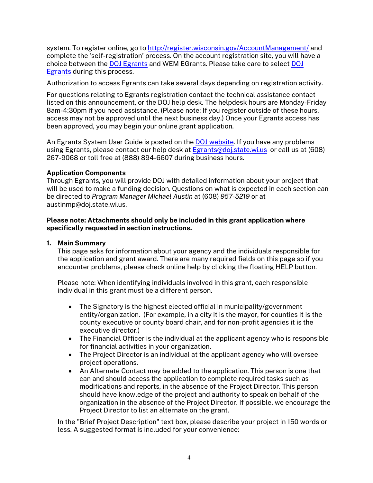system. To register online, go t[o http://register.wisconsin.gov/AccountManagement/](http://register.wisconsin.gov/AccountManagement/) and complete the 'self-registration' process. On the account registration site, you will have a choice between the DOJ [Egrants](https://egrants.doj.state.wi.us/EGMIS.WEBUI/) and WEM EGrants. Please take care to select [DOJ](https://egrants.doj.state.wi.us/EGMIS.WEBUI/)  [Egrants](https://egrants.doj.state.wi.us/EGMIS.WEBUI/) during this process.

Authorization to access Egrants can take several days depending on registration activity.

For questions relating to Egrants registration contact the technical assistance contact listed on this announcement, or the DOJ help desk. The helpdesk hours are Monday-Friday 8am-4:30pm if you need assistance. (Please note: If you register outside of these hours, access may not be approved until the next business day.) Once your Egrants access has been approved, you may begin your online grant application.

An Egrants System User Guide is posted on the [DOJ website.](https://egrants.doj.state.wi.us/egmis/login.aspx) If you have any problems using Egrants, please contact our help desk at [Egrants@doj.state.wi.us](mailto:Egrants@doj.state.wi.us) or call us at (608) 267-9068 or toll free at (888) 894-6607 during business hours.

#### **Application Components**

Through Egrants, you will provide DOJ with detailed information about your project that will be used to make a funding decision. Questions on what is expected in each section can be directed to *Program Manager Michael Austin* at (608) *957-5219* or at austinmp@doj.state.wi.us.

#### **Please note: Attachments should only be included in this grant application where specifically requested in section instructions.**

#### **1. Main Summary**

This page asks for information about your agency and the individuals responsible for the application and grant award. There are many required fields on this page so if you encounter problems, please check online help by clicking the floating HELP button.

Please note: When identifying individuals involved in this grant, each responsible individual in this grant must be a different person.

- The Signatory is the highest elected official in municipality/government entity/organization. (For example, in a city it is the mayor, for counties it is the county executive or county board chair, and for non-profit agencies it is the executive director.)
- The Financial Officer is the individual at the applicant agency who is responsible for financial activities in your organization.
- The Project Director is an individual at the applicant agency who will oversee project operations.
- An Alternate Contact may be added to the application. This person is one that can and should access the application to complete required tasks such as modifications and reports, in the absence of the Project Director. This person should have knowledge of the project and authority to speak on behalf of the organization in the absence of the Project Director. If possible, we encourage the Project Director to list an alternate on the grant.

In the "Brief Project Description" text box, please describe your project in 150 words or less. A suggested format is included for your convenience: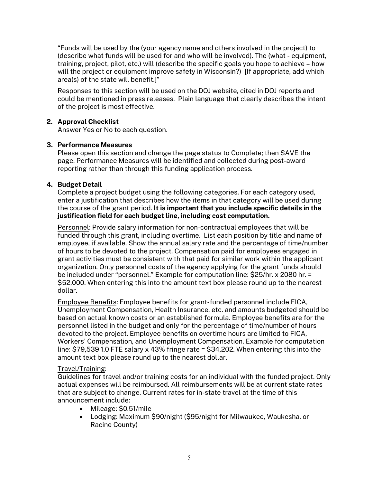"Funds will be used by the (your agency name and others involved in the project) to (describe what funds will be used for and who will be involved). The (what - equipment, training, project, pilot, etc.) will (describe the specific goals you hope to achieve – how will the project or equipment improve safety in Wisconsin?) [If appropriate, add which area(s) of the state will benefit.]"

Responses to this section will be used on the DOJ website, cited in DOJ reports and could be mentioned in press releases. Plain language that clearly describes the intent of the project is most effective.

# **2. Approval Checklist**

Answer Yes or No to each question.

#### **3. Performance Measures**

Please open this section and change the page status to Complete; then SAVE the page. Performance Measures will be identified and collected during post-award reporting rather than through this funding application process.

# **4. Budget Detail**

Complete a project budget using the following categories. For each category used, enter a justification that describes how the items in that category will be used during the course of the grant period. **It is important that you include specific details in the justification field for each budget line, including cost computation.** 

Personnel: Provide salary information for non-contractual employees that will be funded through this grant, including overtime. List each position by title and name of employee, if available. Show the annual salary rate and the percentage of time/number of hours to be devoted to the project. Compensation paid for employees engaged in grant activities must be consistent with that paid for similar work within the applicant organization. Only personnel costs of the agency applying for the grant funds should be included under "personnel." Example for computation line: \$25/hr. x 2080 hr. = \$52,000. When entering this into the amount text box please round up to the nearest dollar.

Employee Benefits: Employee benefits for grant-funded personnel include FICA, Unemployment Compensation, Health Insurance, etc. and amounts budgeted should be based on actual known costs or an established formula. Employee benefits are for the personnel listed in the budget and only for the percentage of time/number of hours devoted to the project. Employee benefits on overtime hours are limited to FICA, Workers' Compensation, and Unemployment Compensation. Example for computation line: \$79,539 1.0 FTE salary x 43% fringe rate = \$34,202. When entering this into the amount text box please round up to the nearest dollar.

#### Travel/Training:

Guidelines for travel and/or training costs for an individual with the funded project. Only actual expenses will be reimbursed. All reimbursements will be at current state rates that are subject to change. Current rates for in-state travel at the time of this announcement include:

- Mileage: \$0.51/mile
- Lodging: Maximum \$90/night (\$95/night for Milwaukee, Waukesha, or Racine County)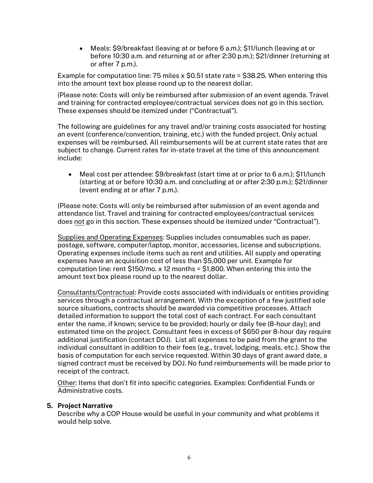• Meals: \$9/breakfast (leaving at or before 6 a.m.); \$11/lunch (leaving at or before 10:30 a.m. and returning at or after 2:30 p.m.); \$21/dinner (returning at or after 7 p.m.).

Example for computation line: 75 miles x \$0.51 state rate = \$38.25. When entering this into the amount text box please round up to the nearest dollar.

(Please note: Costs will only be reimbursed after submission of an event agenda. Travel and training for contracted employee/contractual services does not go in this section. These expenses should be itemized under ("Contractual").

The following are guidelines for any travel and/or training costs associated for hosting an event (conference/convention, training, etc.) with the funded project. Only actual expenses will be reimbursed. All reimbursements will be at current state rates that are subject to change. Current rates for in-state travel at the time of this announcement include:

• Meal cost per attendee: \$9/breakfast (start time at or prior to 6 a.m.); \$11/lunch (starting at or before 10:30 a.m. and concluding at or after 2:30 p.m.); \$21/dinner (event ending at or after 7 p.m.).

(Please note: Costs will only be reimbursed after submission of an event agenda and attendance list. Travel and training for contracted employees/contractual services does not go in this section. These expenses should be itemized under "Contractual").

Supplies and Operating Expenses: Supplies includes consumables such as paper, postage, software, computer/laptop, monitor, accessories, license and subscriptions. Operating expenses include items such as rent and utilities. All supply and operating expenses have an acquisition cost of less than \$5,000 per unit. Example for computation line: rent \$150/mo. x 12 months = \$1,800. When entering this into the amount text box please round up to the nearest dollar.

Consultants/Contractual: Provide costs associated with individuals or entities providing services through a contractual arrangement. With the exception of a few justified sole source situations, contracts should be awarded via competitive processes. Attach detailed information to support the total cost of each contract. For each consultant enter the name, if known; service to be provided; hourly or daily fee (8-hour day); and estimated time on the project. Consultant fees in excess of \$650 per 8-hour day require additional justification (contact DOJ). List all expenses to be paid from the grant to the individual consultant in addition to their fees (e.g., travel, lodging, meals, etc.). Show the basis of computation for each service requested. Within 30 days of grant award date, a signed contract must be received by DOJ. No fund reimbursements will be made prior to receipt of the contract.

Other: Items that don't fit into specific categories. Examples: Confidential Funds or Administrative costs.

#### **5. Project Narrative**

Describe why a COP House would be useful in your community and what problems it would help solve.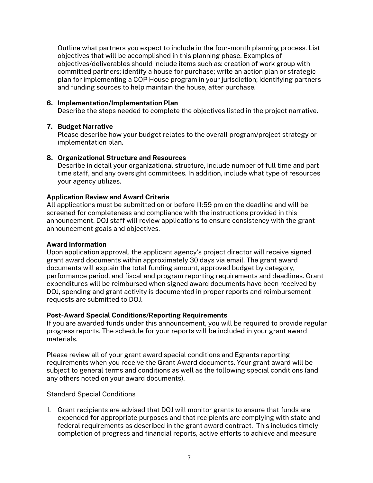Outline what partners you expect to include in the four-month planning process. List objectives that will be accomplished in this planning phase. Examples of objectives/deliverables should include items such as: creation of work group with committed partners; identify a house for purchase; write an action plan or strategic plan for implementing a COP House program in your jurisdiction; identifying partners and funding sources to help maintain the house, after purchase.

## **6. Implementation/Implementation Plan**

Describe the steps needed to complete the objectives listed in the project narrative.

# **7. Budget Narrative**

Please describe how your budget relates to the overall program/project strategy or implementation plan.

# **8. Organizational Structure and Resources**

Describe in detail your organizational structure, include number of full time and part time staff, and any oversight committees. In addition, include what type of resources your agency utilizes.

# **Application Review and Award Criteria**

All applications must be submitted on or before 11:59 pm on the deadline and will be screened for completeness and compliance with the instructions provided in this announcement. DOJ staff will review applications to ensure consistency with the grant announcement goals and objectives.

#### **Award Information**

Upon application approval, the applicant agency's project director will receive signed grant award documents within approximately 30 days via email. The grant award documents will explain the total funding amount, approved budget by category, performance period, and fiscal and program reporting requirements and deadlines. Grant expenditures will be reimbursed when signed award documents have been received by DOJ, spending and grant activity is documented in proper reports and reimbursement requests are submitted to DOJ.

# **Post-Award Special Conditions/Reporting Requirements**

If you are awarded funds under this announcement, you will be required to provide regular progress reports. The schedule for your reports will be included in your grant award materials.

Please review all of your grant award special conditions and Egrants reporting requirements when you receive the Grant Award documents. Your grant award will be subject to general terms and conditions as well as the following special conditions (and any others noted on your award documents).

# Standard Special Conditions

1. Grant recipients are advised that DOJ will monitor grants to ensure that funds are expended for appropriate purposes and that recipients are complying with state and federal requirements as described in the grant award contract. This includes timely completion of progress and financial reports, active efforts to achieve and measure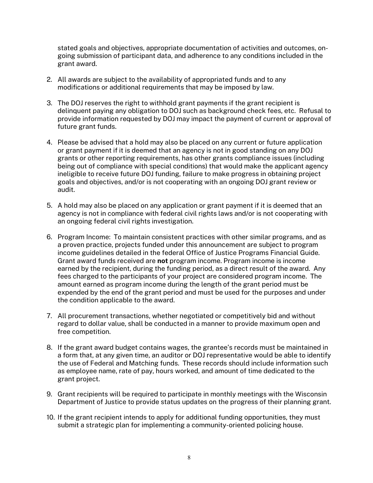stated goals and objectives, appropriate documentation of activities and outcomes, ongoing submission of participant data, and adherence to any conditions included in the grant award.

- 2. All awards are subject to the availability of appropriated funds and to any modifications or additional requirements that may be imposed by law.
- 3. The DOJ reserves the right to withhold grant payments if the grant recipient is delinquent paying any obligation to DOJ such as background check fees, etc. Refusal to provide information requested by DOJ may impact the payment of current or approval of future grant funds.
- 4. Please be advised that a hold may also be placed on any current or future application or grant payment if it is deemed that an agency is not in good standing on any DOJ grants or other reporting requirements, has other grants compliance issues (including being out of compliance with special conditions) that would make the applicant agency ineligible to receive future DOJ funding, failure to make progress in obtaining project goals and objectives, and/or is not cooperating with an ongoing DOJ grant review or audit.
- 5. A hold may also be placed on any application or grant payment if it is deemed that an agency is not in compliance with federal civil rights laws and/or is not cooperating with an ongoing federal civil rights investigation.
- 6. Program Income: To maintain consistent practices with other similar programs, and as a proven practice, projects funded under this announcement are subject to program income guidelines detailed in the federal Office of Justice Programs Financial Guide. Grant award funds received are **not** program income. Program income is income earned by the recipient, during the funding period, as a direct result of the award. Any fees charged to the participants of your project are considered program income. The amount earned as program income during the length of the grant period must be expended by the end of the grant period and must be used for the purposes and under the condition applicable to the award.
- 7. All procurement transactions, whether negotiated or competitively bid and without regard to dollar value, shall be conducted in a manner to provide maximum open and free competition.
- 8. If the grant award budget contains wages, the grantee's records must be maintained in a form that, at any given time, an auditor or DOJ representative would be able to identify the use of Federal and Matching funds. These records should include information such as employee name, rate of pay, hours worked, and amount of time dedicated to the grant project.
- 9. Grant recipients will be required to participate in monthly meetings with the Wisconsin Department of Justice to provide status updates on the progress of their planning grant.
- 10. If the grant recipient intends to apply for additional funding opportunities, they must submit a strategic plan for implementing a community-oriented policing house.